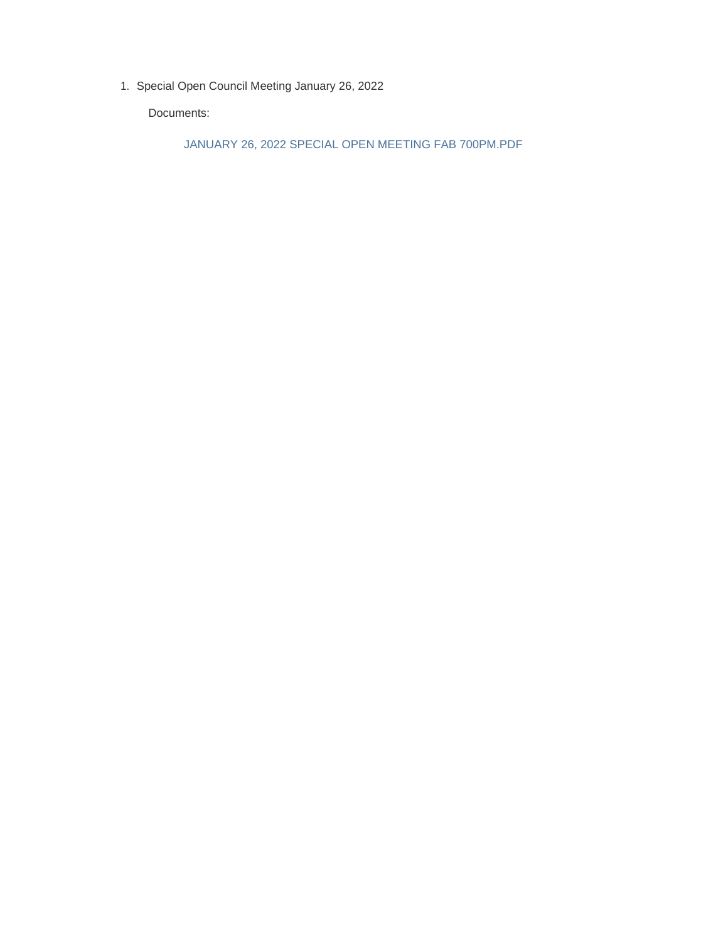1. Special Open Council Meeting January 26, 2022

Documents:

JANUARY 26, 2022 SPECIAL OPEN MEETING FAB 700PM.PDF